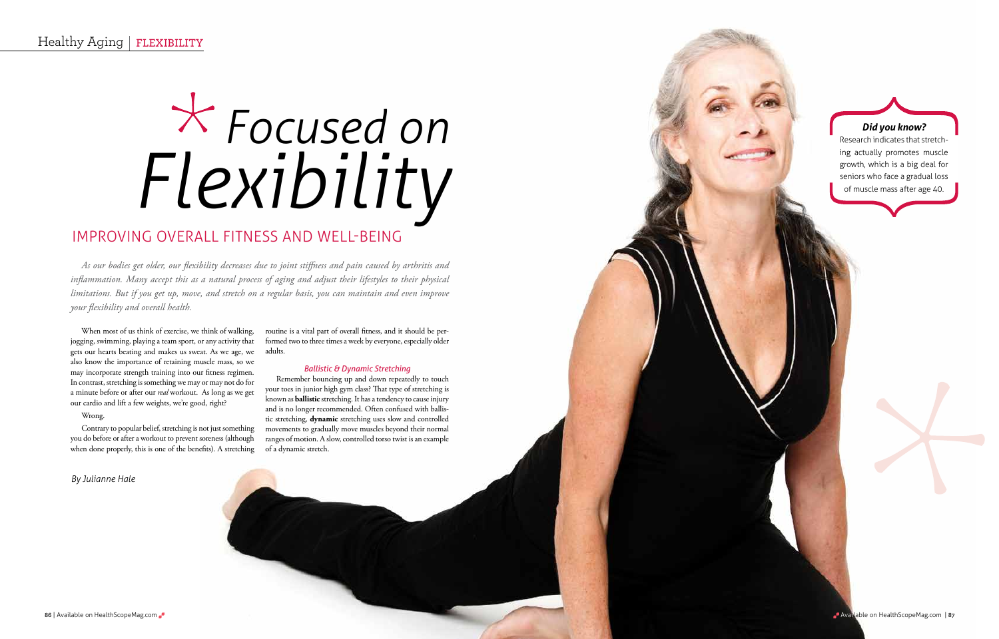# *Focused on Flexibility*

When most of us think of exercise, we think of walking, jogging, swimming, playing a team sport, or any activity that gets our hearts beating and makes us sweat. As we age, we also know the importance of retaining muscle mass, so we may incorporate strength training into our fitness regimen. In contrast, stretching is something we may or may not do for a minute before or after our *real* workout. As long as we get our cardio and lift a few weights, we're good, right?

#### Wrong.

Contrary to popular belief, stretching is not just something you do before or after a workout to prevent soreness (although when done properly, this is one of the benefits). A stretching

routine is a vital part of overall fitness, and it should be performed two to three times a week by everyone, especially older adults.

#### *Ballistic & Dynamic Stretching*

Remember bouncing up and down repeatedly to touch your toes in junior high gym class? That type of stretching is known as **ballistic** stretching. It has a tendency to cause injury and is no longer recommended. Often confused with ballistic stretching, **dynamic** stretching uses slow and controlled movements to gradually move muscles beyond their normal ranges of motion. A slow, controlled torso twist is an example of a dynamic stretch.

*As our bodies get older, our flexibility decreases due to joint stiffness and pain caused by arthritis and inflammation. Many accept this as a natural process of aging and adjust their lifestyles to their physical limitations. But if you get up, move, and stretch on a regular basis, you can maintain and even improve your flexibility and overall health.*

#### *Did you know?*

Research indicates that stretching actually promotes muscle growth, which is a big deal for seniors who face a gradual loss of muscle mass after age 40.

*By Julianne Hale*

# Improving overall fitness and well-being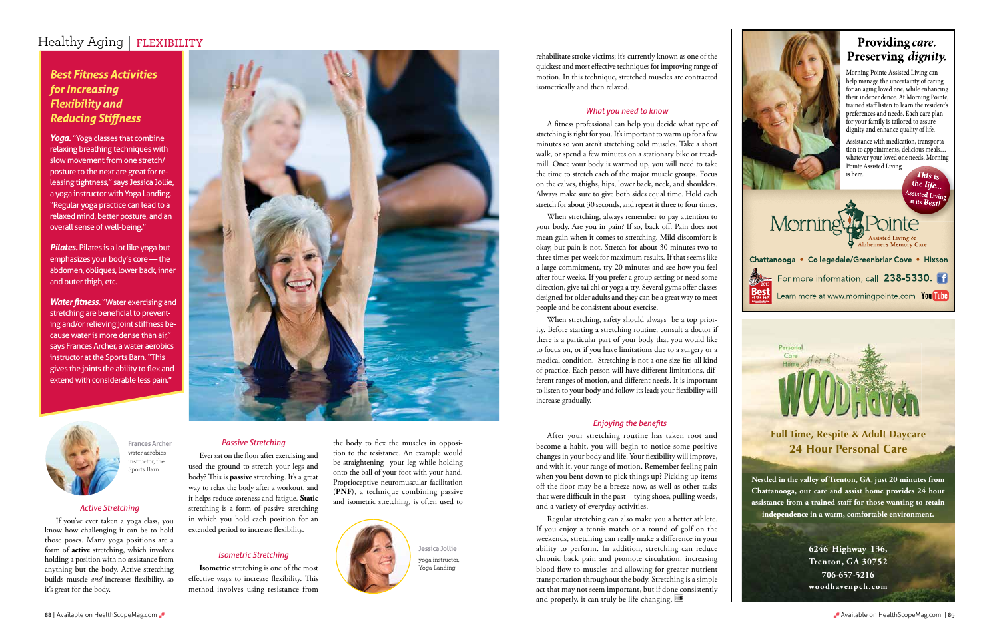the body to flex the muscles in opposition to the resistance. An example would be straightening your leg while holding onto the ball of your foot with your hand. Proprioceptive neuromuscular facilitation (**PNF**), a technique combining passive and isometric stretching, is often used to



#### *Passive Stretching*

Ever sat on the floor after exercising and used the ground to stretch your legs and body? This is **passive** stretching. It's a great way to relax the body after a workout, and it helps reduce soreness and fatigue. **Static** stretching is a form of passive stretching in which you hold each position for an extended period to increase flexibility.

Yoga. "Yoga classes that combine relaxing breathing techniques with slow movement from one stretch/ posture to the next are great for releasing tightness," says Jessica Jollie, a yoga instructor with Yoga Landing. "Regular yoga practice can lead to a relaxed mind, better posture, and an overall sense of well-being."

#### *Isometric Stretching*

**Isometric** stretching is one of the most effective ways to increase flexibility. This method involves using resistance from

*Pilates.* Pilates is a lot like yoga but emphasizes your body's core — the abdomen, obliques, lower back, inner and outer thigh, etc.

*Water fitness.* "Water exercising and stretching are beneficial to preventing and/or relieving joint stiffness because water is more dense than air," says Frances Archer, a water aerobics instructor at the Sports Barn. "This gives the joints the ability to flex and extend with considerable less pain."



## Healthy Aging | **FLEXIBILITY**

### *Best Fitness Activities for Increasing Flexibility and Reducing Stiffness*

**Frances Archer** water aerobics instructor, the Sports Barn

> **Jessica Jollie** yoga instructor, Yoga Landing

#### *Active Stretching*

If you've ever taken a yoga class, you know how challenging it can be to hold those poses. Many yoga positions are a form of **active** stretching, which involves holding a position with no assistance from anything but the body. Active stretching builds muscle *and* increases flexibility, so it's great for the body.



rehabilitate stroke victims; it's currently known as one of the quickest and most effective techniques for improving range of motion. In this technique, stretched muscles are contracted isometrically and then relaxed.

#### *What you need to know*

A fitness professional can help you decide what type of stretching is right for you. It's important to warm up for a few minutes so you aren't stretching cold muscles. Take a short walk, or spend a few minutes on a stationary bike or treadmill. Once your body is warmed up, you will need to take the time to stretch each of the major muscle groups. Focus on the calves, thighs, hips, lower back, neck, and shoulders. Always make sure to give both sides equal time. Hold each stretch for about 30 seconds, and repeat it three to four times.

Assistance with medication, transportation to appointments, delicious meals… [whatever your loved one needs, Morning](www.morningpointe.com)  Pointe Assisted Living is here. This  $_{\rm is}$ 

the *life* 

Assisted Living Morning

Chattanooga • Collegedale/Greenbriar Cove • Hixson For more information, call 238-5330. **2013** Learn more at www.morningpointe.com You Tube

When stretching, always remember to pay attention to your body. Are you in pain? If so, back off. Pain does not mean gain when it comes to stretching. Mild discomfort is okay, but pain is not. Stretch for about 30 minutes two to three times per week for maximum results. If that seems like a large commitment, try 20 minutes and see how you feel after four weeks. If you prefer a group setting or need some direction, give tai chi or yoga a try. Several gyms offer classes designed for older adults and they can be a great way to meet people and be consistent about exercise.

When stretching, safety should always be a top priority. Before starting a stretching routine, consult a doctor if there is a particular part of your body that you would like to focus on, or if you have limitations due to a surgery or a medical condition. Stretching is not a one-size-fits-all kind of practice. Each person will have different limitations, different ranges of motion, and different needs. It is important to listen to your body and follow its lead; your flexibility will increase gradually.

#### *Enjoying the benefits*

After your stretching routine has taken root and become a habit, you will begin to notice some positive changes in your body and life. Your flexibility will improve, and with it, your range of motion. Remember feeling pain when you bent down to pick things up? Picking up items off the floor may be a breeze now, as well as other tasks that were difficult in the past—tying shoes, pulling weeds, and a variety of everyday activities.

Regular stretching can also make you a better athlete. If you enjoy a tennis match or a round of golf on the weekends, stretching can really make a difference in your ability to perform. In addition, stretching can reduce chronic back pain and promote circulation, increasing blood flow to muscles and allowing for greater nutrient transportation throughout the body. Stretching is a simple act that may not seem important, but if done consistently and properly, it can truly be life-changing.



# Providing care. Preserving dignity.

# **Full Time, Respite & Adult Daycare 24 Hour Personal Care**

**[Nestled in the valley of Trenton, GA, just 20 minutes from](www.woodhavenpch.com)  Chattanooga, our care and assist home provides 24 hour assistance from a trained staff for those wanting to retain independence in a warm, comfortable environment.**

जा बना है।

**6246 Highway 136, Trenton, GA 30752 706-657-5216 woodhavenpch.com**

Morning Pointe Assisted Living can help manage the uncertainty of caring for an aging loved one, while enhancing their independence. At Morning Pointe, trained staff listen to learn the resident's preferences and needs. Each care plan for your family is tailored to assure dignity and enhance quality of life.